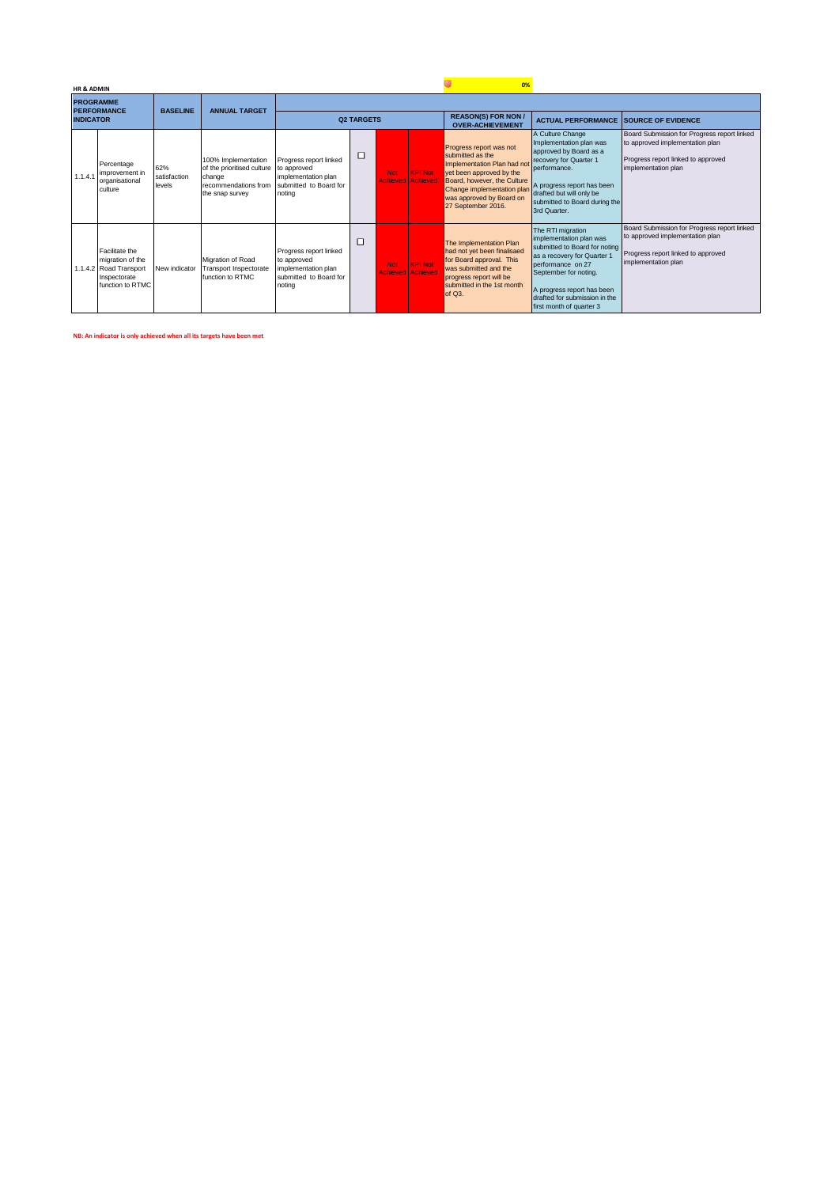|         | <b>HR &amp; ADMIN</b> |                                                                                                  |                               |                                                                                                        |                                                                                                  |   |                                        |                                            | 0%                                                                                                                                                                                                                    |                                                                                                                                                                                                                                                       |                                                                                                                                             |
|---------|-----------------------|--------------------------------------------------------------------------------------------------|-------------------------------|--------------------------------------------------------------------------------------------------------|--------------------------------------------------------------------------------------------------|---|----------------------------------------|--------------------------------------------|-----------------------------------------------------------------------------------------------------------------------------------------------------------------------------------------------------------------------|-------------------------------------------------------------------------------------------------------------------------------------------------------------------------------------------------------------------------------------------------------|---------------------------------------------------------------------------------------------------------------------------------------------|
|         |                       | <b>PROGRAMME</b><br><b>PERFORMANCE</b>                                                           | <b>BASELINE</b>               | <b>ANNUAL TARGET</b>                                                                                   |                                                                                                  |   |                                        |                                            |                                                                                                                                                                                                                       |                                                                                                                                                                                                                                                       |                                                                                                                                             |
|         | <b>INDICATOR</b>      |                                                                                                  |                               |                                                                                                        | <b>Q2 TARGETS</b>                                                                                |   |                                        |                                            | <b>REASON(S) FOR NON /</b><br><b>OVER-ACHIEVEMENT</b>                                                                                                                                                                 | <b>ACTUAL PERFORMANCE SOURCE OF EVIDENCE</b>                                                                                                                                                                                                          |                                                                                                                                             |
| 1.1.4.1 |                       | Percentage<br>improvement in<br>organisational<br>culture                                        | 62%<br>satisfaction<br>levels | 100% Implementation<br>of the prioritised culture<br>change<br>recommendations from<br>the snap survey | Progress report linked<br>to approved<br>implementation plan<br>submitted to Board for<br>notina | □ | <b>Not</b><br><b>Achieved Achieved</b> | <b>KPI Not</b>                             | Progress report was not<br>submitted as the<br>Implementation Plan had not<br>yet been approved by the<br>Board, however, the Culture<br>Change implementation plan<br>was approved by Board on<br>27 September 2016. | A Culture Change<br>Implementation plan was<br>approved by Board as a<br>recovery for Quarter 1<br>performance.<br>A progress report has been<br>drafted but will only be<br>submitted to Board during the<br>3rd Quarter.                            | Board Submission for Progress report linked<br>to approved implementation plan<br>Progress report linked to approved<br>implementation plan |
|         |                       | Facilitate the<br>migration of the<br>1.1.4.2 Road Transport<br>Inspectorate<br>function to RTMC | New indicator                 | Migration of Road<br>Transport Inspectorate<br>function to RTMC                                        | Progress report linked<br>to approved<br>implementation plan<br>submitted to Board for<br>noting | □ | <b>Not</b>                             | <b>KPI Not</b><br><b>Achieved Achieved</b> | The Implementation Plan<br>had not yet been finalisaed<br>for Board approval. This<br>was submitted and the<br>progress report will be<br>submitted in the 1st month<br>of $Q3$ .                                     | The RTI migration<br>implementation plan was<br>submitted to Board for noting<br>as a recovery for Quarter 1<br>performance on 27<br>September for noting.<br>A progress report has been<br>drafted for submission in the<br>first month of quarter 3 | Board Submission for Progress report linked<br>to approved implementation plan<br>Progress report linked to approved<br>implementation plan |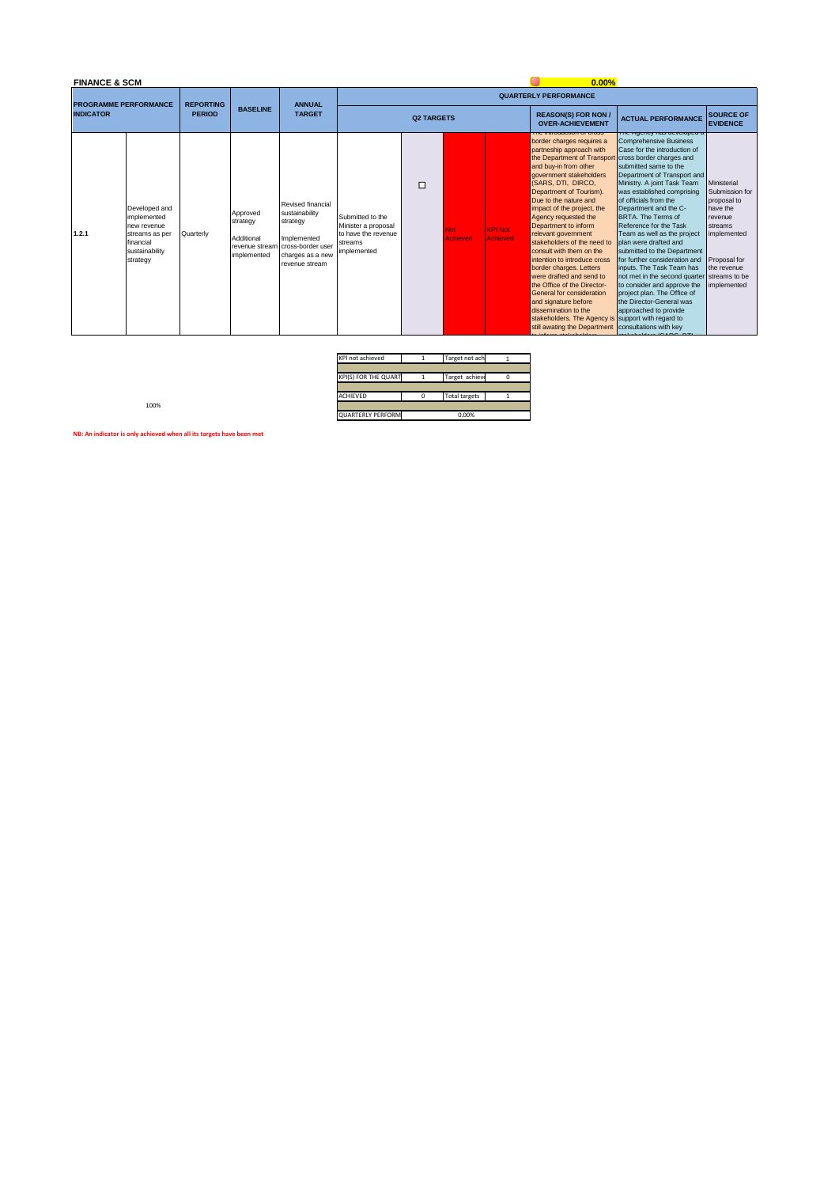### **FINANCE & SCM**

### **0.00% QUARTERLY PERFORMANCE TARGET PROGRAMME PERFORMANCE INDICATOR REPORTING PERIOD BASELINE ANNUAL REASON(S) FOR NON /**  SOURCE OF<br>EVIDENCE **Q2 TARGETSREASON(S) FOR NON Y ACTUAL PERFORMANCE SURCE OF SAMPLY INTERFORMANCE SURPRESSURE TO THE SURPRESSURE THE SURPRESSURE THE SURPRESSURE THE SURPRESSURE THE SURPRESSURE THE SURPRESSURE THE SURPRESSURE THE SURPRESSURE THE SURPR** The introduction of cross<br>
border charges requires a<br>
partneship approach with<br>
the Department of Transport<br>
government stakeholders<br>
government stakeholders<br>
(SARS, DTI, DIRCO,  $\Box$ Ministerial Submission for proposal to have the revenue streams implemented Department of Tourism).<br>
Due to the nature and<br>
impact of the project, the<br>
Agency requested the<br>
Department to inform<br>
relevant government<br>
stakeholders of the need to Revised financial Developed and implemented new revenue streams as per financial sustainability Approved strategy sustalliat<br>strategy Submitted to the Minister a proposal to have the revenue **1.2.1** Not Achieved KPI Not Achieved Quarterly Additional Implemented streams cross-border user sustainability revenue stream implemented implemented consult with them on the<br>intention to introduce cross<br>border charges. Letters<br>were drafted and send to<br>the Office of the Director-<br>General for consideration<br>and signature before<br>dissemination to the<br>stakeholders. The Agenc strategy charges as a new revenue stream Proposal for the revenue streams to be implemented

| KPI not achieved         | Target not ach       |  |
|--------------------------|----------------------|--|
|                          |                      |  |
| KPI(S) FOR THE QUART     | Target achieve       |  |
|                          |                      |  |
| <b>ACHIEVED</b>          | <b>Total targets</b> |  |
|                          |                      |  |
| <b>QUARTERLY PERFORM</b> | 0.00%                |  |

100%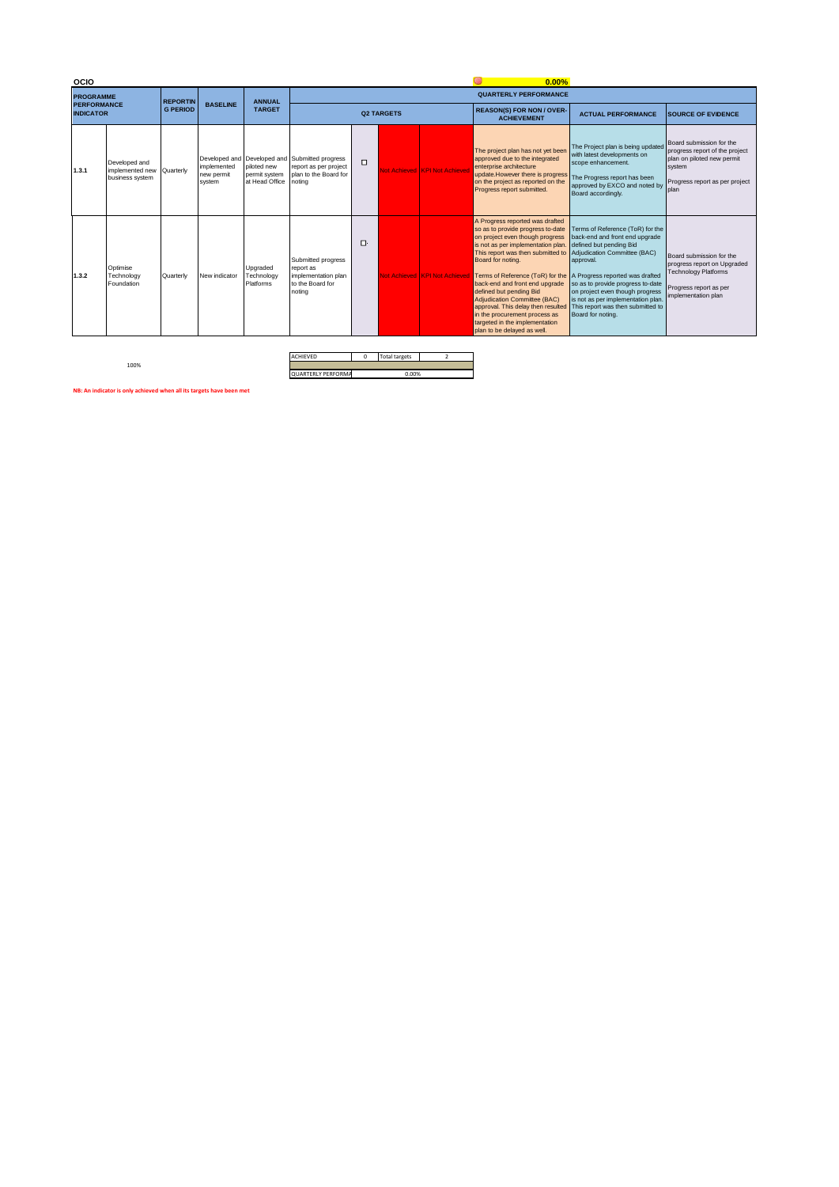| <b>OCIO</b>                            |                                                               |                 |                                     |                                                |                                                                                                            |        | 0.00% |                               |                                                                                                                                                                                                                                                                                                                                                                                                                                                                                                                  |                                                                                                                                                                                                                                                                                                                    |                                                                                                                                              |
|----------------------------------------|---------------------------------------------------------------|-----------------|-------------------------------------|------------------------------------------------|------------------------------------------------------------------------------------------------------------|--------|-------|-------------------------------|------------------------------------------------------------------------------------------------------------------------------------------------------------------------------------------------------------------------------------------------------------------------------------------------------------------------------------------------------------------------------------------------------------------------------------------------------------------------------------------------------------------|--------------------------------------------------------------------------------------------------------------------------------------------------------------------------------------------------------------------------------------------------------------------------------------------------------------------|----------------------------------------------------------------------------------------------------------------------------------------------|
| <b>PROGRAMME</b>                       |                                                               | <b>REPORTIN</b> |                                     | <b>ANNUAL</b>                                  |                                                                                                            |        |       |                               | <b>QUARTERLY PERFORMANCE</b>                                                                                                                                                                                                                                                                                                                                                                                                                                                                                     |                                                                                                                                                                                                                                                                                                                    |                                                                                                                                              |
| <b>PERFORMANCE</b><br><b>INDICATOR</b> |                                                               | <b>G PERIOD</b> | <b>BASELINE</b>                     | <b>TARGET</b>                                  | <b>Q2 TARGETS</b>                                                                                          |        |       |                               | <b>REASON(S) FOR NON / OVER-</b><br><b>ACHIEVEMENT</b>                                                                                                                                                                                                                                                                                                                                                                                                                                                           | <b>ACTUAL PERFORMANCE</b>                                                                                                                                                                                                                                                                                          | <b>SOURCE OF EVIDENCE</b>                                                                                                                    |
| 1.3.1                                  | Developed and<br>implemented new Quarterly<br>business system |                 | implemented<br>new permit<br>system | piloted new<br>permit system<br>at Head Office | Developed and Developed and Submitted progress<br>report as per project<br>plan to the Board for<br>notina | $\Box$ |       | Not Achieved KPI Not Achieve  | The project plan has not yet been<br>approved due to the integrated<br>enterprise architecture<br>update.However there is progress<br>on the project as reported on the<br>Progress report submitted.                                                                                                                                                                                                                                                                                                            | The Project plan is being updated<br>with latest developments on<br>scope enhancement.<br>The Progress report has been<br>approved by EXCO and noted by<br>Board accordingly.                                                                                                                                      | Board submission for the<br>progress report of the project<br>plan on piloted new permit<br>system<br>Progress report as per project<br>plan |
| 1.3.2                                  | Optimise<br>Technology<br>Foundation                          | Quarterly       | New indicator                       | Upgraded<br>Technology<br>Platforms            | Submitted progress<br>report as<br>implementation plan<br>to the Board for<br>noting                       | O.     |       | Not Achieved KPI Not Achiever | A Progress reported was drafted<br>so as to provide progress to-date<br>on project even though progress<br>is not as per implementation plan.<br>This report was then submitted to<br>Board for noting.<br>Terms of Reference (ToR) for the A Progress reported was drafted<br>back-end and front end upgrade<br>defined but pending Bid<br>Adjudication Committee (BAC)<br>approval. This delay then resulted<br>in the procurement process as<br>targeted in the implementation<br>plan to be delayed as well. | Terms of Reference (ToR) for the<br>back-end and front end upgrade<br>defined but pending Bid<br>Adjudication Committee (BAC)<br>approval.<br>so as to provide progress to-date<br>on project even though progress<br>is not as per implementation plan.<br>This report was then submitted to<br>Board for noting. | Board submission for the<br>progress report on Upgraded<br><b>Technology Platforms</b><br>Progress report as per<br>implementation plan      |

100%

ACHIEVED 0 Total targets QUARTERLY PERFORMA 0.00%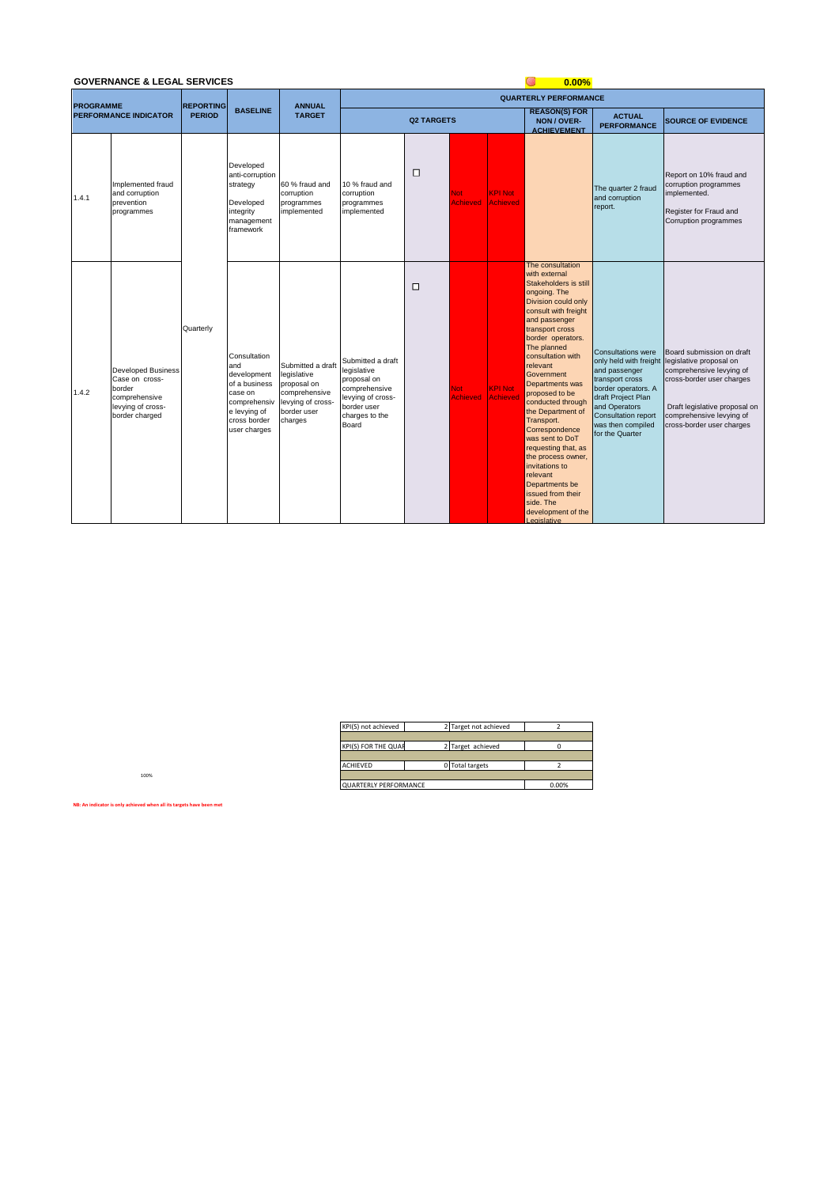|                  | <b>GOVERNANCE &amp; LEGAL SERVICES</b>                                                                        |                  |                                                                                                                                |                                                                                                                 | 0.00%                                                                                                                           |                   |                        |                                   |                                                                                                                                                                                                                                                                                                                                                                                                                                                                                                                                         |                                                                                                                                                                                                                             |                                                                                                                                                                                                         |  |  |
|------------------|---------------------------------------------------------------------------------------------------------------|------------------|--------------------------------------------------------------------------------------------------------------------------------|-----------------------------------------------------------------------------------------------------------------|---------------------------------------------------------------------------------------------------------------------------------|-------------------|------------------------|-----------------------------------|-----------------------------------------------------------------------------------------------------------------------------------------------------------------------------------------------------------------------------------------------------------------------------------------------------------------------------------------------------------------------------------------------------------------------------------------------------------------------------------------------------------------------------------------|-----------------------------------------------------------------------------------------------------------------------------------------------------------------------------------------------------------------------------|---------------------------------------------------------------------------------------------------------------------------------------------------------------------------------------------------------|--|--|
| <b>PROGRAMME</b> |                                                                                                               | <b>REPORTING</b> |                                                                                                                                | <b>ANNUAL</b>                                                                                                   |                                                                                                                                 |                   |                        |                                   | <b>QUARTERLY PERFORMANCE</b>                                                                                                                                                                                                                                                                                                                                                                                                                                                                                                            |                                                                                                                                                                                                                             |                                                                                                                                                                                                         |  |  |
|                  | <b>PERFORMANCE INDICATOR</b>                                                                                  | <b>PERIOD</b>    | <b>BASELINE</b>                                                                                                                | <b>TARGET</b>                                                                                                   |                                                                                                                                 | <b>Q2 TARGETS</b> |                        |                                   | <b>REASON(S) FOR</b><br>NON / OVER-<br><b>ACHIEVEMENT</b>                                                                                                                                                                                                                                                                                                                                                                                                                                                                               | <b>ACTUAL</b><br><b>PERFORMANCE</b>                                                                                                                                                                                         | <b>SOURCE OF EVIDENCE</b>                                                                                                                                                                               |  |  |
| 1.4.1            | Implemented fraud<br>and corruption<br>prevention<br>programmes                                               |                  | Developed<br>anti-corruption<br>strategy<br>Developed<br>integrity<br>management<br>framework                                  | 60 % fraud and<br>corruption<br>programmes<br>implemented                                                       | 10 % fraud and<br>corruption<br>programmes<br>implemented                                                                       | $\Box$            | Not<br><b>Achieved</b> | <b>KPI Not</b><br><b>Achieved</b> |                                                                                                                                                                                                                                                                                                                                                                                                                                                                                                                                         | The quarter 2 fraud<br>and corruption<br>report.                                                                                                                                                                            | Report on 10% fraud and<br>corruption programmes<br>implemented.<br>Register for Fraud and<br>Corruption programmes                                                                                     |  |  |
| 1.4.2            | <b>Developed Business</b><br>Case on cross-<br>border<br>comprehensive<br>levying of cross-<br>border charged | Quarterly        | Consultation<br>and<br>development<br>of a business<br>case on<br>comprehensiv<br>e levying of<br>cross border<br>user charges | Submitted a draft<br>legislative<br>proposal on<br>comprehensive<br>levying of cross-<br>border user<br>charges | Submitted a draft<br>legislative<br>proposal on<br>comprehensive<br>levying of cross-<br>border user<br>charges to the<br>Board | $\Box$            | Not<br><b>Achieved</b> | <b>KPI Not</b><br><b>Achieved</b> | The consultation<br>with external<br>Stakeholders is still<br>ongoing. The<br>Division could only<br>consult with freight<br>and passenger<br>transport cross<br>border operators.<br>The planned<br>consultation with<br>relevant<br>Government<br>Departments was<br>proposed to be<br>conducted through<br>the Department of<br>Transport.<br>Correspondence<br>was sent to DoT<br>requesting that, as<br>the process owner,<br>invitations to<br>relevant<br>Departments be<br>issued from their<br>side. The<br>development of the | <b>Consultations were</b><br>only held with freight<br>and passenger<br>transport cross<br>border operators. A<br>draft Project Plan<br>and Operators<br><b>Consultation report</b><br>was then compiled<br>for the Quarter | Board submission on draft<br>legislative proposal on<br>comprehensive levying of<br>cross-border user charges<br>Draft legislative proposal on<br>comprehensive levying of<br>cross-border user charges |  |  |

| KPI(S) not achieved          | 2 Target not achieved |       |
|------------------------------|-----------------------|-------|
|                              |                       |       |
| KPI(S) FOR THE QUAI          | 2 Target achieved     |       |
|                              |                       |       |
| <b>ACHIEVED</b>              | 0 Total targets       |       |
|                              |                       |       |
| <b>QUARTERLY PERFORMANCE</b> |                       | 0.00% |

**Legislative** 

**NB: An indicator is only achieved when all its targets have been met**

100%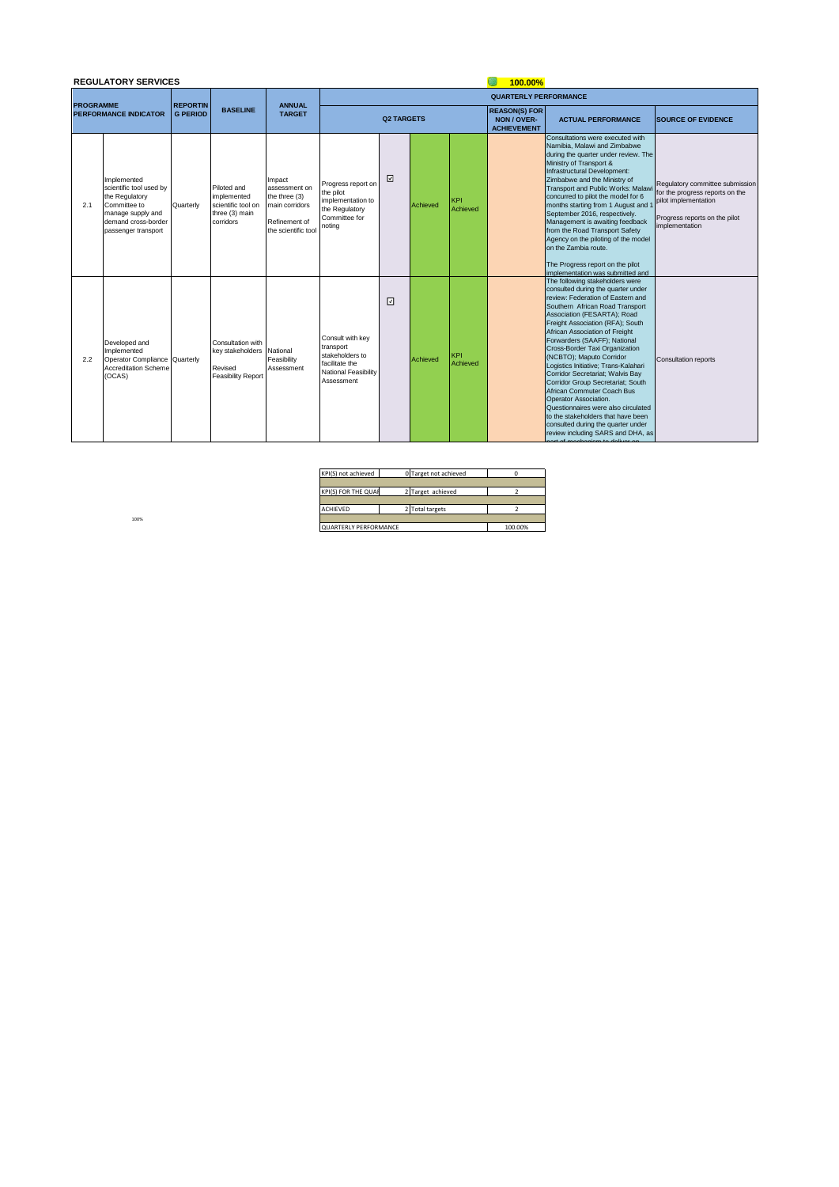|                  | <b>REGULATORY SERVICES</b>                                                                                                                  |                 |                                                                                 |                                                                                                    |                                                                                                          | 100.00%           |          |                        |                                                           |                                                                                                                                                                                                                                                                                                                                                                                                                                                                                                                                                                                                                                                                                  |                                                                                                                                               |
|------------------|---------------------------------------------------------------------------------------------------------------------------------------------|-----------------|---------------------------------------------------------------------------------|----------------------------------------------------------------------------------------------------|----------------------------------------------------------------------------------------------------------|-------------------|----------|------------------------|-----------------------------------------------------------|----------------------------------------------------------------------------------------------------------------------------------------------------------------------------------------------------------------------------------------------------------------------------------------------------------------------------------------------------------------------------------------------------------------------------------------------------------------------------------------------------------------------------------------------------------------------------------------------------------------------------------------------------------------------------------|-----------------------------------------------------------------------------------------------------------------------------------------------|
| <b>PROGRAMME</b> |                                                                                                                                             | <b>REPORTIN</b> |                                                                                 | <b>ANNUAL</b>                                                                                      |                                                                                                          |                   |          |                        | <b>QUARTERLY PERFORMANCE</b>                              |                                                                                                                                                                                                                                                                                                                                                                                                                                                                                                                                                                                                                                                                                  |                                                                                                                                               |
|                  | <b>PERFORMANCE INDICATOR</b>                                                                                                                | <b>G PERIOD</b> | <b>BASELINE</b>                                                                 | <b>TARGET</b>                                                                                      |                                                                                                          | <b>Q2 TARGETS</b> |          |                        | <b>REASON(S) FOR</b><br>NON / OVER-<br><b>ACHIEVEMENT</b> | <b>ACTUAL PERFORMANCE</b>                                                                                                                                                                                                                                                                                                                                                                                                                                                                                                                                                                                                                                                        | <b>SOURCE OF EVIDENCE</b>                                                                                                                     |
| 2.1              | Implemented<br>scientific tool used by<br>the Regulatory<br>Committee to<br>manage supply and<br>demand cross-border<br>passenger transport | Quarterly       | Piloted and<br>implemented<br>scientific tool on<br>three (3) main<br>corridors | Impact<br>assessment on<br>the three (3)<br>main corridors<br>Refinement of<br>the scientific tool | Progress report on<br>the pilot<br>implementation to<br>the Regulatory<br>Committee for<br>noting        | ☑                 | Achieved | <b>KPI</b><br>Achieved |                                                           | Consultations were executed with<br>Namibia, Malawi and Zimbabwe<br>during the quarter under review. The<br>Ministry of Transport &<br>Infrastructural Development:<br>Zimbabwe and the Ministry of<br>Transport and Public Works: Malaw<br>concurred to pilot the model for 6<br>months starting from 1 August and<br>September 2016, respectively.<br>Management is awaiting feedback<br>from the Road Transport Safety<br>Agency on the piloting of the model<br>on the Zambia route.<br>The Progress report on the pilot<br>implementation was submitted and                                                                                                                 | Regulatory committee submission<br>for the progress reports on the<br>pilot implementation<br>Progress reports on the pilot<br>implementation |
| 2.2              | Developed and<br>Implemented<br>Operator Compliance Quarterly<br><b>Accreditation Scheme</b><br>(OCAS)                                      |                 | Consultation with<br>key stakeholders<br>Revised<br><b>Feasibility Report</b>   | National<br>Feasibility<br>Assessment                                                              | Consult with kev<br>transport<br>stakeholders to<br>facilitate the<br>National Feasibility<br>Assessment | ⊡                 | Achieved | <b>KPI</b><br>Achieved |                                                           | The following stakeholders were<br>consulted during the quarter under<br>review: Federation of Eastern and<br>Southern African Road Transport<br>Association (FESARTA); Road<br>Freight Association (RFA); South<br>African Association of Freight<br>Forwarders (SAAFF); National<br>Cross-Border Taxi Organization<br>(NCBTO); Maputo Corridor<br>Logistics Initiative; Trans-Kalahari<br>Corridor Secretariat; Walvis Bay<br>Corridor Group Secretariat; South<br>African Commuter Coach Bus<br>Operator Association.<br>Questionnaires were also circulated<br>to the stakeholders that have been<br>consulted during the quarter under<br>review including SARS and DHA, as | <b>Consultation reports</b>                                                                                                                   |

| KPI(S) not achieved   |  | 0 Target not achieved |         |
|-----------------------|--|-----------------------|---------|
|                       |  |                       |         |
| KPI(S) FOR THE QUAI   |  | 2 Target achieved     |         |
|                       |  |                       |         |
| <b>ACHIEVED</b>       |  | 2 Total targets       |         |
|                       |  |                       |         |
| QUARTERLY PERFORMANCE |  |                       | 100.00% |

part of mechanism to deliver on

100%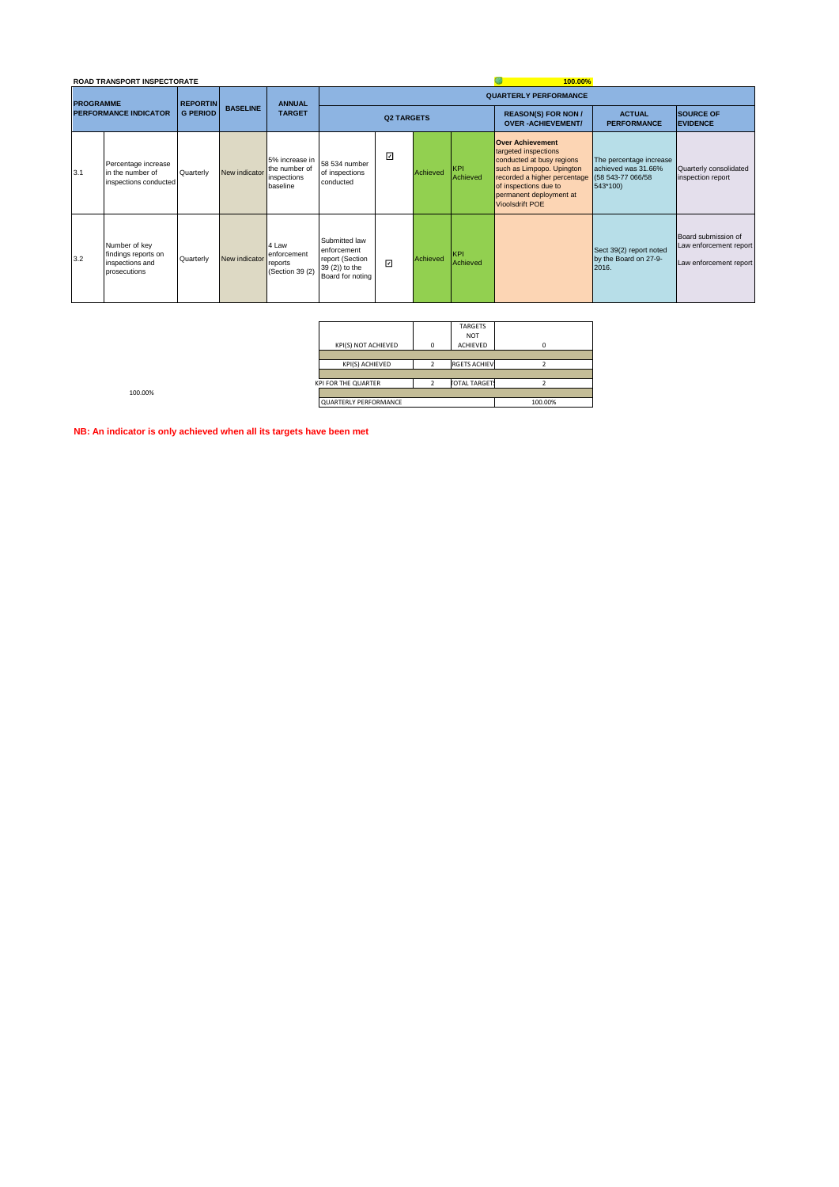|                              | <b>ROAD TRANSPORT INSPECTORATE</b>                                      |                 |                 |                                                            |                                                                                       |                              |          |                        | 100.00%                                                                                                                                                                                                                                   |                                                            |                                                                         |  |  |
|------------------------------|-------------------------------------------------------------------------|-----------------|-----------------|------------------------------------------------------------|---------------------------------------------------------------------------------------|------------------------------|----------|------------------------|-------------------------------------------------------------------------------------------------------------------------------------------------------------------------------------------------------------------------------------------|------------------------------------------------------------|-------------------------------------------------------------------------|--|--|
| <b>PROGRAMME</b>             |                                                                         | <b>REPORTIN</b> |                 | <b>ANNUAL</b>                                              |                                                                                       | <b>QUARTERLY PERFORMANCE</b> |          |                        |                                                                                                                                                                                                                                           |                                                            |                                                                         |  |  |
| <b>PERFORMANCE INDICATOR</b> |                                                                         | <b>G PERIOD</b> | <b>BASELINE</b> | <b>TARGET</b>                                              |                                                                                       | <b>Q2 TARGETS</b>            |          |                        | <b>REASON(S) FOR NON /</b><br><b>OVER-ACHIEVEMENT/</b>                                                                                                                                                                                    | <b>ACTUAL</b><br><b>PERFORMANCE</b>                        | <b>SOURCE OF</b><br><b>EVIDENCE</b>                                     |  |  |
| 3.1                          | Percentage increase<br>in the number of<br>inspections conducted        | Quarterly       | New indicator   | 5% increase in<br>the number of<br>inspections<br>baseline | 58 534 number<br>of inspections<br>conducted                                          | ⊡                            | Achieved | <b>KPI</b><br>Achieved | <b>Over Achievement</b><br>targeted inspections<br>conducted at busy regions<br>such as Limpopo. Upington<br>recorded a higher percentage (58 543-77 066/58<br>of inspections due to<br>permanent deployment at<br><b>Vioolsdrift POE</b> | The percentage increase<br>achieved was 31.66%<br>543*100) | Quarterly consolidated<br>inspection report                             |  |  |
| 3.2                          | Number of key<br>findings reports on<br>inspections and<br>prosecutions | Quarterly       | New indicator   | 4 Law<br>enforcement<br>reports<br>(Section 39 (2)         | Submitted law<br>enforcement<br>report (Section<br>39 (2)) to the<br>Board for noting | $\overline{\mathsf{v}}$      | Achieved | KPI<br>Achieved        |                                                                                                                                                                                                                                           | Sect 39(2) report noted<br>by the Board on 27-9-<br>2016.  | Board submission of<br>Law enforcement report<br>Law enforcement report |  |  |

| KPI(S) NOT ACHIEVED   | <b>TARGETS</b><br><b>NOT</b><br>ACHIEVED |         |
|-----------------------|------------------------------------------|---------|
|                       |                                          |         |
| KPI(S) ACHIEVED       | <b>RGETS ACHIEV</b>                      |         |
|                       |                                          |         |
| KPI FOR THE QUARTER   | <b><i>FOTAL TARGET</i></b>               |         |
|                       |                                          |         |
| QUARTERLY PERFORMANCE |                                          | 100.00% |

100.00%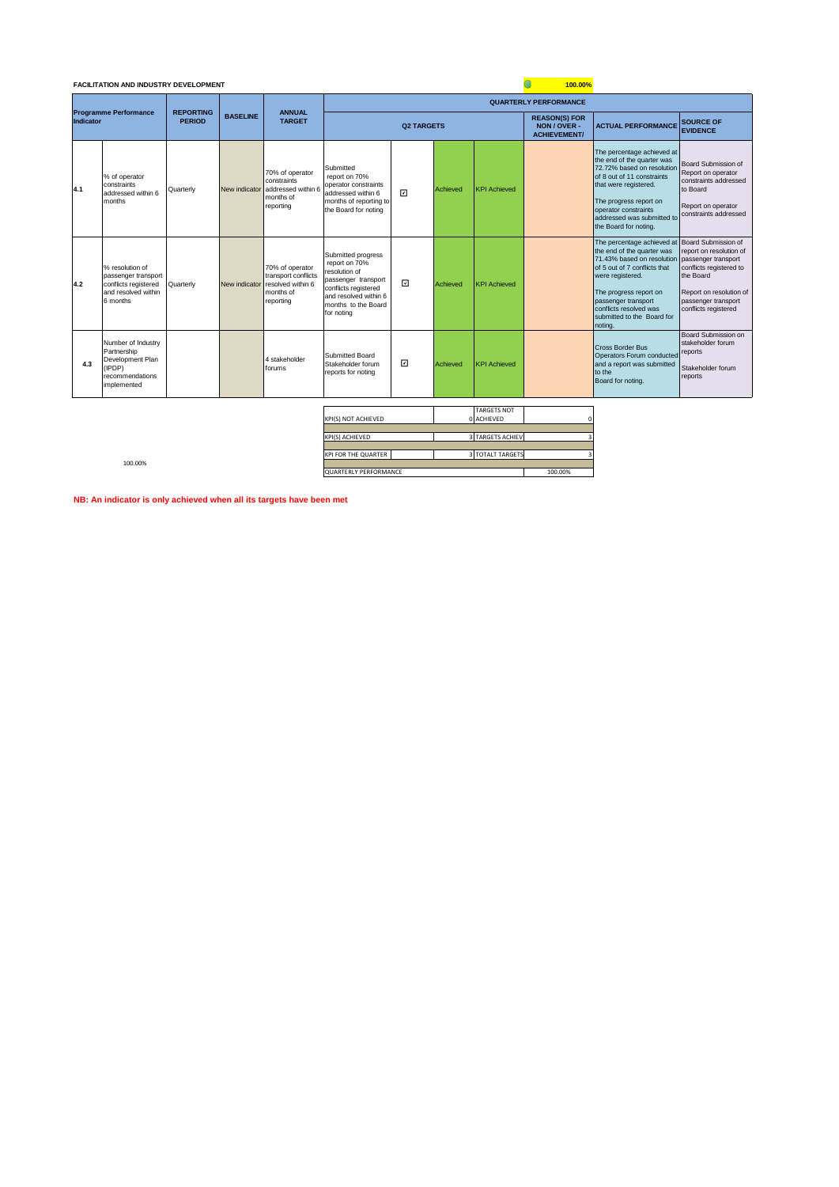# **FACILITATION AND INDUSTRY DEVELOPMENT**

|           | <b>FACILITATION AND INDUSTRY DEVELOPMENT</b><br>100.00%                                           |                                   |                 |                                                                                       |                                                                                                                                                                   |                |          |                                                             |                              |                                                                                                                                                                                                                                                                                    |                                                                                                                                                                  |
|-----------|---------------------------------------------------------------------------------------------------|-----------------------------------|-----------------|---------------------------------------------------------------------------------------|-------------------------------------------------------------------------------------------------------------------------------------------------------------------|----------------|----------|-------------------------------------------------------------|------------------------------|------------------------------------------------------------------------------------------------------------------------------------------------------------------------------------------------------------------------------------------------------------------------------------|------------------------------------------------------------------------------------------------------------------------------------------------------------------|
|           |                                                                                                   |                                   |                 |                                                                                       |                                                                                                                                                                   |                |          |                                                             | <b>QUARTERLY PERFORMANCE</b> |                                                                                                                                                                                                                                                                                    |                                                                                                                                                                  |
| Indicator | <b>Programme Performance</b>                                                                      | <b>REPORTING</b><br><b>PERIOD</b> | <b>BASELINE</b> | <b>ANNUAL</b><br><b>TARGET</b>                                                        | <b>Q2 TARGETS</b>                                                                                                                                                 |                |          | <b>REASON(S) FOR</b><br>NON / OVER -<br><b>ACHIEVEMENT/</b> | <b>ACTUAL PERFORMANCE</b>    | <b>SOURCE OF</b><br><b>EVIDENCE</b>                                                                                                                                                                                                                                                |                                                                                                                                                                  |
| 4.1       | % of operator<br>constraints<br>addressed within 6<br>months                                      | Quarterly                         | New indicator   | 70% of operator<br>constraints<br>addressed within 6<br>months of<br>reporting        | Submitted<br>report on 70%<br>operator constraints<br>addressed within 6<br>months of reporting to<br>the Board for noting                                        | $\overline{ }$ | Achieved | <b>KPI Achieved</b>                                         |                              | The percentage achieved at<br>the end of the quarter was<br>72.72% based on resolution<br>of 8 out of 11 constraints<br>that were registered.<br>The progress report on<br>operator constraints<br>addressed was submitted to<br>the Board for noting.                             | Board Submission of<br>Report on operator<br>constraints addressed<br>to Board<br>Report on operator<br>constraints addressed                                    |
| 4.2       | % resolution of<br>passenger transport<br>conflicts registered<br>and resolved within<br>6 months | Quarterly                         | New indicator   | 70% of operator<br>transport conflicts<br>resolved within 6<br>months of<br>reporting | Submitted progress<br>report on 70%<br>resolution of<br>passenger transport<br>conflicts registered<br>and resolved within 6<br>months to the Board<br>for noting | ⊡              | Achieved | <b>KPI Achieved</b>                                         |                              | The percentage achieved at Board Submission of<br>the end of the quarter was<br>71,43% based on resolution<br>of 5 out of 7 conflicts that<br>were registered.<br>The progress report on<br>passenger transport<br>conflicts resolved was<br>submitted to the Board for<br>noting. | report on resolution of<br>passenger transport<br>conflicts registered to<br>the Board<br>Report on resolution of<br>passenger transport<br>conflicts registered |
| 4.3       | Number of Industry<br>Partnership<br>Development Plan<br>(IPDP)<br>recommendations<br>implemented |                                   |                 | 4 stakeholder<br>forums                                                               | Submitted Board<br>Stakeholder forum<br>reports for noting                                                                                                        | ⊡              | Achieved | <b>KPI Achieved</b>                                         |                              | <b>Cross Border Bus</b><br>Operators Forum conducted<br>and a report was submitted<br>to the<br>Board for noting.                                                                                                                                                                  | Board Submission on<br>stakeholder forum<br>reports<br>Stakeholder forum<br>reports                                                                              |
|           |                                                                                                   |                                   |                 |                                                                                       |                                                                                                                                                                   |                |          | <b>TARGETS NOT</b>                                          |                              |                                                                                                                                                                                                                                                                                    |                                                                                                                                                                  |

| <b>KPI(S) NOT ACHIEVED</b> | <b>IARGEIS NUI</b><br>0 ACHIEVED |         |
|----------------------------|----------------------------------|---------|
|                            |                                  |         |
| KPI(S) ACHIEVED            | 3 TARGETS ACHIEV                 |         |
|                            |                                  |         |
| KPI FOR THE QUARTER        | <b>3 TOTALT TARGETS</b>          |         |
|                            |                                  |         |
| QUARTERLY PERFORMANCE      |                                  | 100.00% |

100.00%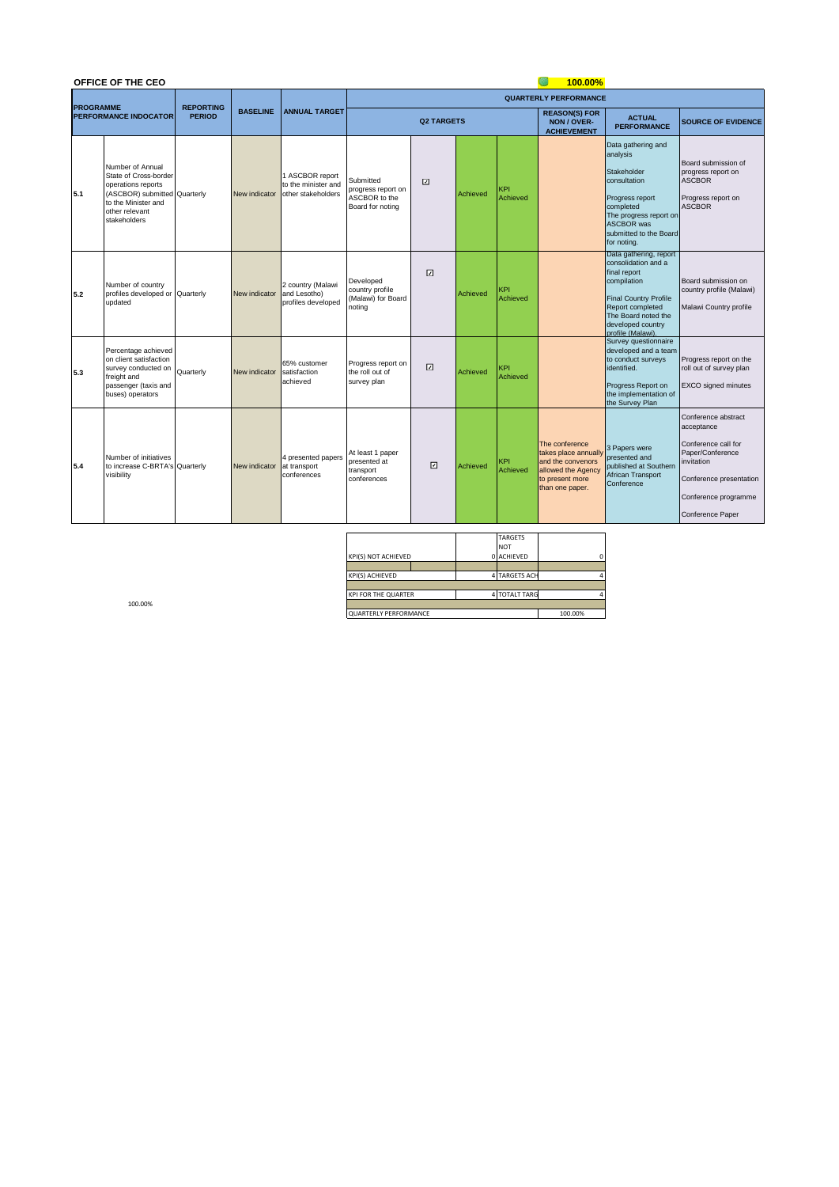|                  | OFFICE OF THE CEO                                                                                                                                        |                  |                 |                                                              | 100.00%                                                              |                       |          |                        |                                                                                                                        |                                                                                                                                                                                                   |                                                                                                                                                                   |  |  |
|------------------|----------------------------------------------------------------------------------------------------------------------------------------------------------|------------------|-----------------|--------------------------------------------------------------|----------------------------------------------------------------------|-----------------------|----------|------------------------|------------------------------------------------------------------------------------------------------------------------|---------------------------------------------------------------------------------------------------------------------------------------------------------------------------------------------------|-------------------------------------------------------------------------------------------------------------------------------------------------------------------|--|--|
| <b>PROGRAMME</b> |                                                                                                                                                          | <b>REPORTING</b> |                 |                                                              |                                                                      |                       |          |                        | <b>QUARTERLY PERFORMANCE</b>                                                                                           |                                                                                                                                                                                                   |                                                                                                                                                                   |  |  |
|                  | <b>PERFORMANCE INDOCATOR</b>                                                                                                                             | <b>PERIOD</b>    | <b>BASELINE</b> | <b>ANNUAL TARGET</b>                                         |                                                                      | <b>Q2 TARGETS</b>     |          |                        |                                                                                                                        | <b>ACTUAL</b><br><b>PERFORMANCE</b>                                                                                                                                                               | <b>SOURCE OF EVIDENCE</b>                                                                                                                                         |  |  |
| 5.1              | Number of Annual<br>State of Cross-border<br>operations reports<br>(ASCBOR) submitted Quarterly<br>to the Minister and<br>other relevant<br>stakeholders |                  | New indicator   | 1 ASCBOR report<br>to the minister and<br>other stakeholders | Submitted<br>progress report on<br>ASCBOR to the<br>Board for noting | $\boxed{\mathcal{S}}$ | Achieved | KPI<br>Achieved        |                                                                                                                        | Data gathering and<br>analysis<br>Stakeholder<br>consultation<br>Progress report<br>completed<br>The progress report on<br><b>ASCBOR</b> was<br>submitted to the Board<br>for noting.             | Board submission of<br>progress report on<br><b>ASCBOR</b><br>Progress report on<br><b>ASCBOR</b>                                                                 |  |  |
| 5.2              | Number of country<br>profiles developed or Quarterly<br>updated                                                                                          |                  | New indicator   | 2 country (Malawi<br>and Lesotho)<br>profiles developed      | Developed<br>country profile<br>(Malawi) for Board<br>noting         | 冈                     | Achieved | KPI<br>Achieved        |                                                                                                                        | Data gathering, report<br>consolidation and a<br>final report<br>compilation<br><b>Final Country Profile</b><br>Report completed<br>The Board noted the<br>developed country<br>profile (Malawi). | Board submission on<br>country profile (Malawi)<br>Malawi Country profile                                                                                         |  |  |
| 5.3              | Percentage achieved<br>on client satisfaction<br>survey conducted on<br>freight and<br>passenger (taxis and<br>buses) operators                          | Quarterly        | New indicator   | 65% customer<br>satisfaction<br>achieved                     | Progress report on<br>the roll out of<br>survey plan                 | 回                     | Achieved | <b>KPI</b><br>Achieved |                                                                                                                        | Survey questionnaire<br>developed and a team<br>to conduct surveys<br>identified.<br>Progress Report on<br>the implementation of<br>the Survey Plan                                               | Progress report on the<br>roll out of survey plan<br><b>EXCO</b> signed minutes                                                                                   |  |  |
| 5.4              | Number of initiatives<br>to increase C-BRTA's Quarterly<br>visibility                                                                                    |                  | New indicator   | 4 presented papers<br>at transport<br>conferences            | At least 1 paper<br>presented at<br>transport<br>conferences         | $\Box$                | Achieved | <b>KPI</b><br>Achieved | The conference<br>takes place annuall<br>and the convenors<br>allowed the Agency<br>to present more<br>than one paper. | 3 Papers were<br>presented and<br>published at Southern<br>African Transport<br>Conference                                                                                                        | Conference abstract<br>acceptance<br>Conference call for<br>Paper/Conference<br>invitation<br>Conference presentation<br>Conference programme<br>Conference Paper |  |  |

|                              | <b>TARGETS</b> |  |   |  |
|------------------------------|----------------|--|---|--|
|                              | <b>NOT</b>     |  |   |  |
| KPI(S) NOT ACHIEVED          | 0 ACHIEVED     |  | r |  |
|                              |                |  |   |  |
| KPI(S) ACHIEVED              | 4 TARGETS ACH  |  |   |  |
|                              |                |  |   |  |
| <b>KPI FOR THE QUARTER</b>   | 4 TOTALT TARG  |  |   |  |
|                              |                |  |   |  |
| <b>QUARTERLY PERFORMANCE</b> | 100.00%        |  |   |  |

100.00%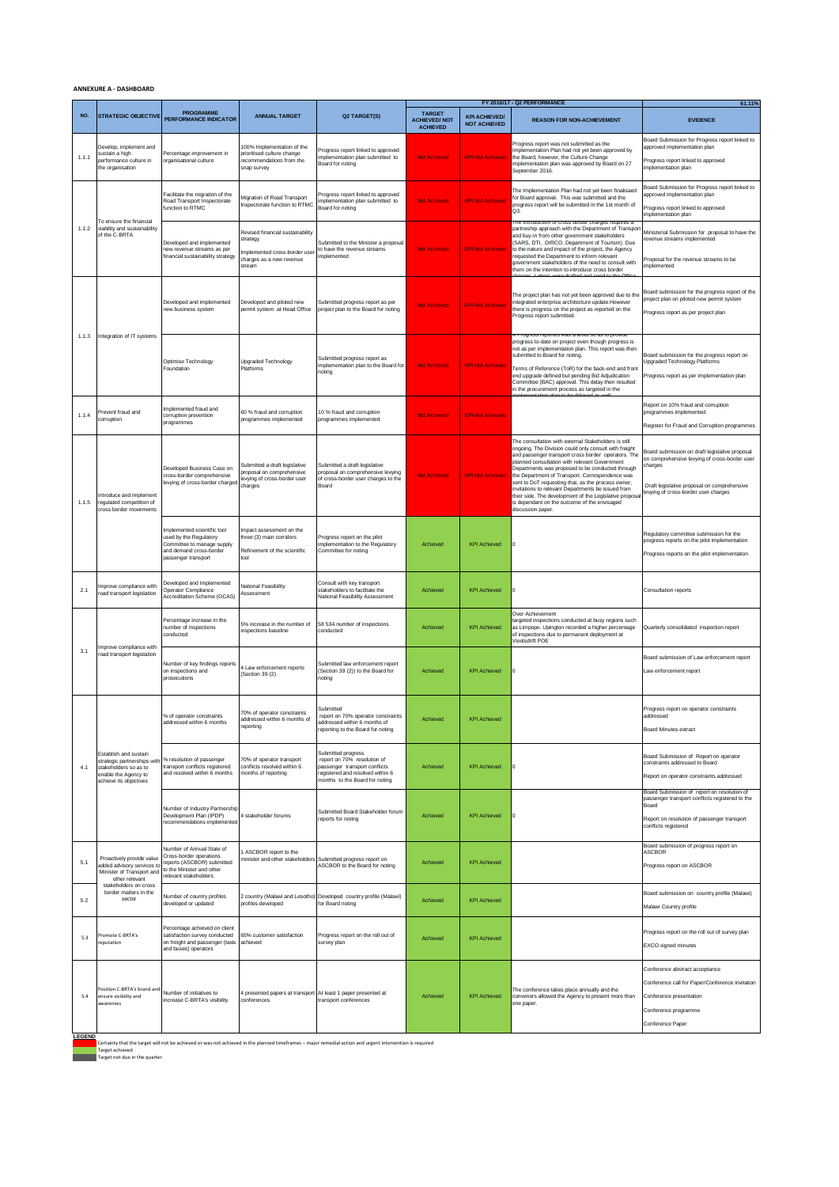## **ANNEXURE A - DASHBOARD**

|                      |                                                                                                                                 | <b>PROGRAMME</b>                                                                                                                        |                                                                                                                     |                                                                                                                                                          | <b>TARGET</b>                          |                                             | FY 2016/17 - Q2 PERFORMANCE                                                                                                                                                                                                                                                                                                                                                                                                                                                                                                                                             | 61.11%                                                                                                                                                                                            |
|----------------------|---------------------------------------------------------------------------------------------------------------------------------|-----------------------------------------------------------------------------------------------------------------------------------------|---------------------------------------------------------------------------------------------------------------------|----------------------------------------------------------------------------------------------------------------------------------------------------------|----------------------------------------|---------------------------------------------|-------------------------------------------------------------------------------------------------------------------------------------------------------------------------------------------------------------------------------------------------------------------------------------------------------------------------------------------------------------------------------------------------------------------------------------------------------------------------------------------------------------------------------------------------------------------------|---------------------------------------------------------------------------------------------------------------------------------------------------------------------------------------------------|
| NO.                  | <b>STRATEGIC OBJECTIVE</b>                                                                                                      | PERFORMANCE INDICATOR                                                                                                                   | <b>ANNUAL TARGET</b>                                                                                                | Q2 TARGET(S)                                                                                                                                             | <b>ACHIEVED/NOT</b><br><b>ACHIEVED</b> | <b>KPI ACHIEVED/</b><br><b>NOT ACHIEVED</b> | <b>REASON FOR NON-ACHIEVEMENT</b>                                                                                                                                                                                                                                                                                                                                                                                                                                                                                                                                       | <b>EVIDENCE</b>                                                                                                                                                                                   |
| 1.1.1                | Develop, implement and<br>sustain a high<br>performance culture in<br>the organisation                                          | Percentage improvement in<br>organisational culture                                                                                     | 100% Implementation of the<br>prioritised culture change<br>recommendations from the<br>snap survey                 | Progress report linked to approved<br>implementation plan submitted to<br>Board for noting                                                               | <b>Not Achieved</b>                    | <b>KPI Not Achieved</b>                     | Progress report was not submitted as the<br>Implementation Plan had not yet been approved by<br>the Board, however, the Culture Change<br>implementation plan was approved by Board on 27<br>September 2016.                                                                                                                                                                                                                                                                                                                                                            | Board Submission for Progress report linked to<br>approved implementation plan<br>Progress report linked to approved<br>implementation plan                                                       |
| 1.1.2                | To ensure the financial<br>viability and sustainability<br>of the C-BRTA                                                        | acilitate the migration of the<br>Road Transport Inspectorate<br>unction to RTMC                                                        | Migration of Road Transport<br>Inspectorate function to RTMC                                                        | Progress report linked to approved<br>mplementation plan submitted to<br>Board for noting                                                                | <b>Not Achieved</b>                    | <b>KPI Not Achieved</b>                     | The Implementation Plan had not yet been finalisaed<br>for Board approval. This was submitted and the<br>progress report will be submitted in the 1st month of<br>QЗ.                                                                                                                                                                                                                                                                                                                                                                                                   | Board Submission for Progress report linked to<br>approved implementation plan<br>Progress report linked to approved<br>implementation plan                                                       |
|                      |                                                                                                                                 | Developed and implemented<br>new revenue streams as per<br>financial sustainability strategy                                            | Revised financial sustainability<br>strategy<br>implemented cross-border user<br>charges as a new revenue<br>stream | Submitted to the Minister a proposal<br>to have the revenue streams<br>mplemented                                                                        | Not Achieved                           | <b>KPI Not Achieved</b>                     | porder charges requires<br>partneship approach with the Department of Transpor<br>and buy-in from other government stakeholders<br>SARS, DTI, DIRCO, Department of Tourism). Due<br>to the nature and impact of the project, the Agency<br>requested the Department to inform relevant<br>government stakeholders of the need to consult with<br>them on the intention to introduce cross border                                                                                                                                                                        | Ministerial Submission for proposal to have the<br>revenue streams implemented<br>Proposal for the revenue streams to be<br>mplemented                                                            |
| 1.1.3                | Integration of IT systems                                                                                                       | Developed and implemented<br>ew business system                                                                                         | Developed and piloted new<br>permit system at Head Office                                                           | Submitted progress report as per<br>project plan to the Board for noting                                                                                 | <b>Not Achieved</b>                    | <b>KPI Not Achieved</b>                     | The project plan has not yet been approved due to the<br>integrated enterprise architecture update.However<br>there is progress on the project as reported on the<br>Progress report submitted.                                                                                                                                                                                                                                                                                                                                                                         | Board submission for the progress report of the<br>project plan on piloted new permit system<br>Progress report as per project plan                                                               |
|                      |                                                                                                                                 | Optimise Technology<br>Foundation                                                                                                       | Upgraded Technology<br>Platforms                                                                                    | Submitted progress report as<br>implementation plan to the Board for<br>noting                                                                           | <b>Not Achieved</b>                    | <b>KPI Not Achieved</b>                     | R Progress reported was dramed so as to provide<br>progress to-date on project even though progress is<br>not as per implementation plan. This report was then<br>submitted to Board for noting.<br>Terms of Reference (ToR) for the back-end and front<br>end upgrade defined but pending Bid Adjudication<br>Committee (BAC) approval. This delay then resulted<br>in the procurement process as targeted in the                                                                                                                                                      | Board submission for the progress report on<br>Upgraded Technology Platforms<br>Progress report as per implementation plan                                                                        |
| 1.1.4                | Prevent fraud and<br>corruption                                                                                                 | mplemented fraud and<br>corruption prevention<br>programmes                                                                             | 60 % fraud and corruption<br>programmes implemented                                                                 | 10 % fraud and corruption<br>programmes implemented                                                                                                      | <b>Not Achieved</b>                    | <b>KPI Not Achieved</b>                     |                                                                                                                                                                                                                                                                                                                                                                                                                                                                                                                                                                         | Report on 10% fraud and corruption<br>programmes implemented.<br>Register for Fraud and Corruption programmes                                                                                     |
| 1.1.5                | ntroduce and implement<br>regulated competition of<br>cross border movements                                                    | Developed Business Case on<br>cross-border comprehensive<br>levying of cross-border charged                                             | Submitted a draft legislative<br>proposal on comprehensive<br>levying of cross-border user<br>charges               | Submitted a draft legislative<br>proposal on comprehensive levying<br>of cross-border user charges to the<br>Board                                       | <b>Not Achieved</b>                    | <b>KPI Not Achieved</b>                     | The consultation with external Stakeholders is still<br>ongoing. The Division could only consult with freight<br>and passenger transport cross border operators. The<br>planned consultation with relevant Government<br>Departments was proposed to be conducted through<br>the Department of Transport. Correspondence was<br>sent to DoT requesting that, as the process owner,<br>invitations to relevant Departments be issued from<br>their side. The development of the Legislative proposa<br>is dependant on the outcome of the envisaged<br>discussion paper. | Board submission on draft legislative proposal<br>on comprehensive levying of cross-border user<br>charges<br>Draft legislative proposal on comprehensive<br>levying of cross-border user charges |
|                      |                                                                                                                                 | mplemented scientific tool<br>used by the Regulatory<br>Committee to manage supply<br>and demand cross-border<br>passenger transport    | Impact assessment on the<br>three (3) main corridors<br>Refinement of the scientific<br>tool                        | Progress report on the pilot<br>implementation to the Regulatory<br>Committee for noting                                                                 | Achieved                               | <b>KPI Achieved</b>                         |                                                                                                                                                                                                                                                                                                                                                                                                                                                                                                                                                                         | Regulatory committee submission for the<br>progress reports on the pilot implementation<br>Progress reports on the pilot implementation                                                           |
| 2.1                  | mprove compliance with<br>road transport legislation                                                                            | Developed and Implemented<br>Operator Compliance<br>Accreditation Scheme (OCAS)                                                         | National Feasibility<br>Assessment                                                                                  | Consult with key transport<br>stakeholders to facilitate the<br>National Feasibility Assessment                                                          | Achieved                               | <b>KPI Achieved</b>                         | O                                                                                                                                                                                                                                                                                                                                                                                                                                                                                                                                                                       | Consultation reports                                                                                                                                                                              |
| 3.1                  | mprove compliance with<br>oad transport legislation                                                                             | Percentage increase in the<br>number of inspections<br>conducted                                                                        | 5% increase in the number of<br>nspections baseline                                                                 | 58 534 number of inspections<br>conducted                                                                                                                | Achieved                               | <b>KPI Achieved</b>                         | Over Achievement<br>targeted inspections conducted at busy regions such<br>as Limpopo. Upington recorded a higher percentage<br>of inspections due to permanent deployment at<br>Vioolsdrift POE                                                                                                                                                                                                                                                                                                                                                                        | Quarterly consolidated inspection report                                                                                                                                                          |
|                      |                                                                                                                                 | Number of key findings reports<br>on inspections and<br>rosecutions                                                                     | 4 Law enforcement reports<br>(Section 39 (2)                                                                        | Submitted law enforcement report<br>(Section 39 (2)) to the Board for<br>noting                                                                          | Achieved                               | <b>KPI Achieved</b>                         | O                                                                                                                                                                                                                                                                                                                                                                                                                                                                                                                                                                       | Board submission of Law enforcement report<br>Law enforcement report                                                                                                                              |
| 4.1                  | Establish and sustain<br>strategic partnerships with<br>stakeholders so as to<br>enable the Agency to<br>achieve its objectives | % of operator constraints<br>addressed within 6 months                                                                                  | 70% of operator constraints<br>addressed within 6 months of<br>reporting                                            | Submitted<br>report on 70% operator constraints<br>addressed within 6 months of<br>reporting to the Board for noting                                     | Achieved                               | <b>KPI Achieved</b>                         |                                                                                                                                                                                                                                                                                                                                                                                                                                                                                                                                                                         | Progress report on operator constraints<br>addressed<br><b>Board Minutes extract</b>                                                                                                              |
|                      |                                                                                                                                 | % resolution of passenger<br>transport conflicts registered<br>and resolved within 6 months                                             | 70% of operator transport<br>conflicts resolved within 6<br>months of reporting                                     | Submitted progress<br>report on 70% resolution of<br>passenger transport conflicts<br>registered and resolved within 6<br>months to the Board for noting | Achieved                               | <b>KPI Achieved</b>                         | O                                                                                                                                                                                                                                                                                                                                                                                                                                                                                                                                                                       | Board Submission of Report on operator<br>constraints addressed to Board<br>Report on operator constraints addressed                                                                              |
|                      |                                                                                                                                 | Number of Industry Partnership<br>Development Plan (IPDP)<br>recommendations implemented                                                | 4 stakeholder forums                                                                                                | Submitted Board Stakeholder forum<br>reports for noting                                                                                                  | Achieved                               | <b>KPI Achieved</b>                         | o                                                                                                                                                                                                                                                                                                                                                                                                                                                                                                                                                                       | Board Submission of report on resolution of<br>passenger transport conflicts registered to the<br>Board<br>Report on resolution of passenger transport<br>conflicts registered                    |
| 5.1                  | Proactively provide value<br>added advisory services to<br>Minister of Transport and<br>other relevant                          | Number of Annual State of<br>Cross-border operations<br>reports (ASCBOR) submitted<br>to the Minister and other<br>elevant stakeholders | ASCBOR report to the<br>ninister and other stakeholders                                                             | Submitted progress report on<br>ASCBOR to the Board for noting                                                                                           | Achieved                               | <b>KPI Achieved</b>                         |                                                                                                                                                                                                                                                                                                                                                                                                                                                                                                                                                                         | Board submission of progress report on<br><b>ASCBOR</b><br>Progress report on ASCBOR                                                                                                              |
| 5.2                  | stakeholders on cross<br>border matters in the<br>sector                                                                        | Number of country profiles<br>developed or updated                                                                                      | profiles developed                                                                                                  | 2 country (Malawi and Lesotho) Developed country profile (Malawi)<br>for Board noting                                                                    | Achieved                               | <b>KPI Achieved</b>                         |                                                                                                                                                                                                                                                                                                                                                                                                                                                                                                                                                                         | Board submission on country profile (Malawi)<br>Malawi Country profile                                                                                                                            |
| 5.3                  | romote C-BRTA's<br>eputation                                                                                                    | Percentage achieved on client<br>atisfaction survey conducted<br>on freight and passenger (taxis<br>and buses) operators                | 65% customer satisfaction<br>achieved                                                                               | Progress report on the roll out of<br>survey plan                                                                                                        | Achieved                               | <b>KPI Achieved</b>                         |                                                                                                                                                                                                                                                                                                                                                                                                                                                                                                                                                                         | Progress report on the roll out of survey plan<br><b>EXCO</b> signed minutes                                                                                                                      |
| 5.4<br><b>LECEND</b> | Position C-BRTA's brand and<br>ensure visibility and<br>awareness                                                               | Number of initiatives to<br>increase C-BRTA's visibility                                                                                | 4 presented papers at transport At least 1 paper presented at<br>conferences                                        | transport conferences                                                                                                                                    | Achieved                               | <b>KPI Achieved</b>                         | The conference takes place annually and the<br>convenors allowed the Agency to present more than<br>one paper                                                                                                                                                                                                                                                                                                                                                                                                                                                           | Conference abstract acceptance<br>Conference call for Paper/Conference invitation<br>Conference presentation<br>Conference programme<br>Conference Paper                                          |

**LEGEND**<br>Target achieved<br>Target achieved<br>Target not due in the quarter